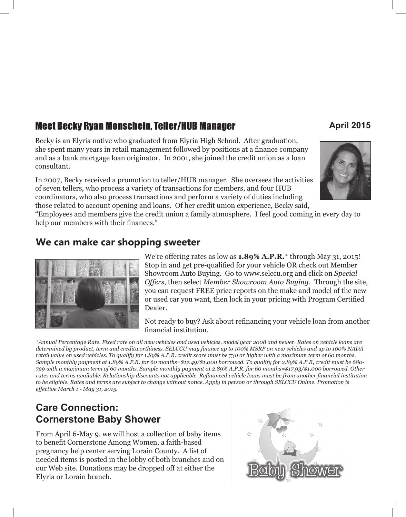# **Meet Becky Ryan Monschein, Teller/HUB Manager Meet Becky Ryan Monschein, Teller/HUB Manager April 2015**

Becky is an Elyria native who graduated from Elyria High School. After graduation, she spent many years in retail management followed by positions at a finance company and as a bank mortgage loan originator. In 2001, she joined the credit union as a loan consultant.

In 2007, Becky received a promotion to teller/HUB manager. She oversees the activities of seven tellers, who process a variety of transactions for members, and four HUB coordinators, who also process transactions and perform a variety of duties including those related to account opening and loans. Of her credit union experience, Becky said,



"Employees and members give the credit union a family atmosphere. I feel good coming in every day to help our members with their finances."

#### **We can make car shopping sweeter**



We're offering rates as low as **1.89% A.P.R.\*** through May 31, 2015! Stop in and get pre-qualified for your vehicle OR check out Member Showroom Auto Buying. Go to www.selccu.org and click on *Special Offers*, then select *Member Showroom Auto Buying*. Through the site, you can request FREE price reports on the make and model of the new or used car you want, then lock in your pricing with Program Certified Dealer.

Not ready to buy? Ask about refinancing your vehicle loan from another financial institution.

*\*Annual Percentage Rate. Fixed rate on all new vehicles and used vehicles, model year 2008 and newer. Rates on vehicle loans are determined by product, term and creditworthiness. SELCCU may finance up to 100% MSRP on new vehicles and up to 100% NADA retail value on used vehicles. To qualify for 1.89% A.P.R. credit score must be 730 or higher with a maximum term of 60 months. Sample monthly payment at 1.89% A.P.R. for 60 months=\$17.49/\$1,000 borrowed. To qualify for 2.89% A.P.R, credit must be 680- 729 with a maximum term of 60 months. Sample monthly payment at 2.89% A.P.R. for 60 months=\$17.93/\$1,000 borrowed. Other rates and terms available. Relationship discounts not applicable. Refinanced vehicle loans must be from another financial institution to be eligible. Rates and terms are subject to change without notice. Apply in person or through SELCCU Online. Promotion is effective March 1 - May 31, 2015.*

## **Care Connection: Cornerstone Baby Shower**

From April 6-May 9, we will host a collection of baby items to benefit Cornerstone Among Women, a faith-based pregnancy help center serving Lorain County. A list of needed items is posted in the lobby of both branches and on our Web site. Donations may be dropped off at either the Elyria or Lorain branch.